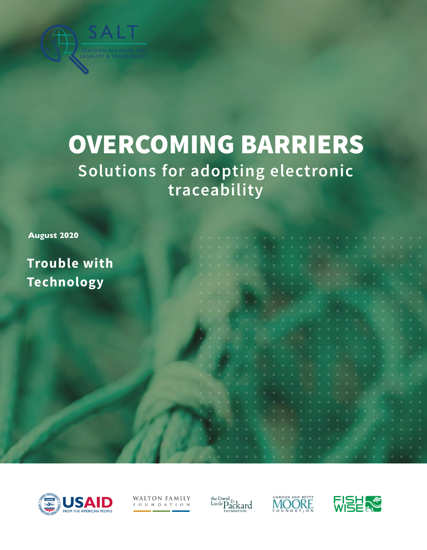

# **Solutions for adopting electronic traceability** OVERCOMING BARRIERS

**August 2020**

**Trouble with Technology**



**WALTON FAMILY** FOUNDATION

the David Lucile Packard



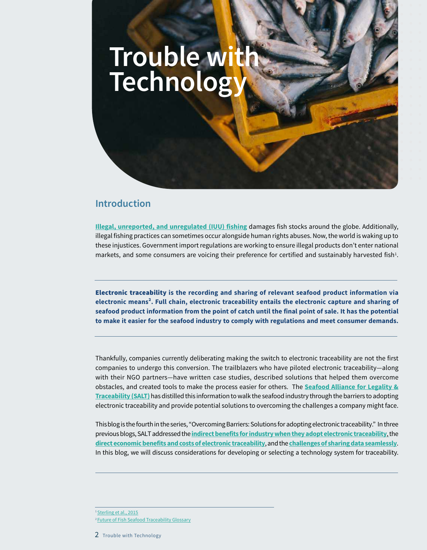

## **Introduction**

**[Illegal, unreported, and unregulated \(IUU\) fishing](http://www.fao.org/iuu-fishing/background/what-is-iuu-fishing/en/)** damages fish stocks around the globe. Additionally, illegal fishing practices can sometimes occur alongside human rights abuses. Now, the world is waking up to these injustices. Government import regulations are working to ensure illegal products don't enter national markets, and some consumers are voicing their preference for certified and sustainably harvested fish<sup>1</sup>.

Electronic traceability **is the recording and sharing of relevant seafood product information via electronic means². Full chain, electronic traceability entails the electronic capture and sharing of seafood product information from the point of catch until the final point of sale. It has the potential to make it easier for the seafood industry to comply with regulations and meet consumer demands.** 

Thankfully, companies currently deliberating making the switch to electronic traceability are not the first companies to undergo this conversion. The trailblazers who have piloted electronic traceability—along with their NGO partners—have written case studies, described solutions that helped them overcome obstacles, and created tools to make the process easier for others. The **[Seafood Alliance for Legality &](https://www.salttraceability.org/) [Traceability \(SALT\)](https://www.salttraceability.org/)** has distilled this information to walk the seafood industry through the barriers to adopting electronic traceability and provide potential solutions to overcoming the challenges a company might face.

 This blog is the fourth in the series, "Overcoming Barriers: Solutions for adopting electronic traceability." In three previous blogs, SALT addressed the **[indirect benefits for industry when they adopt electronic traceability](https://www.salttraceability.org/resource/1_overcoming-barriers-solutions-for-electronic-traceability-indirect-business-benefits-of-electronic-traceability/)**, the **[direct economic benefits and costs of electronic traceability](https://www.salttraceability.org/resource/overcoming-barriers-economic-benefits-of-electronic-traceability/)**, and the **[challenges of sharing data seamlessly](https://www.salttraceability.org/resource/overcoming-barriers-speaking-a-common-language-through-interoperability/)**. In this blog, we will discuss considerations for developing or selecting a technology system for traceability.

2 Trouble with Technology

<sup>&</sup>lt;sup>1</sup>Sterling et al., 2015

<sup>&</sup>lt;sup>2</sup> Future of Fish Seafood Traceability Glossary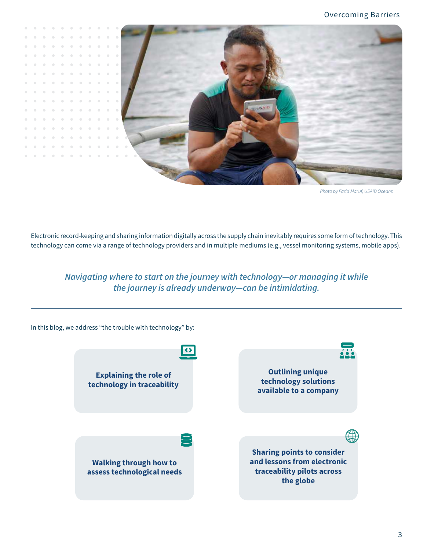

*Photo by Farid Maruf, USAID Oceans*

Electronic record-keeping and sharing information digitally across the supply chain inevitably requires some form of technology. This technology can come via a range of technology providers and in multiple mediums (e.g., vessel monitoring systems, mobile apps).

*Navigating where to start on the journey with technology―or managing it while the journey is already underway―can be intimidating.* 

In this blog, we address "the trouble with technology" by:

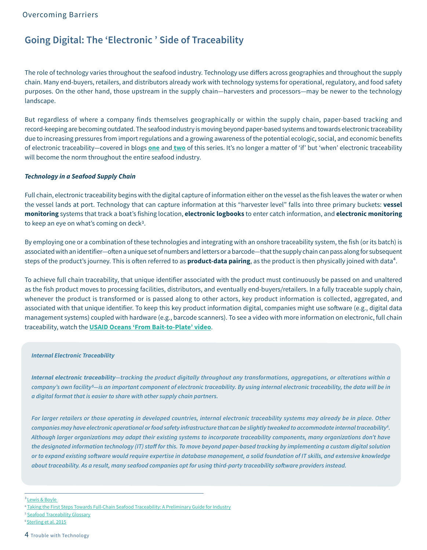## **Going Digital: The 'Electronic ' Side of Traceability**

The role of technology varies throughout the seafood industry. Technology use differs across geographies and throughout the supply chain. Many end-buyers, retailers, and distributors already work with technology systems for operational, regulatory, and food safety purposes. On the other hand, those upstream in the supply chain―harvesters and processors―may be newer to the technology landscape.

But regardless of where a company finds themselves geographically or within the supply chain, paper-based tracking and record-keeping are becoming outdated. The seafood industry is moving beyond paper-based systems and towards electronic traceability due to increasing pressures from import regulations and a growing awareness of the potential ecologic, social, and economic benefits of electronic traceability―covered in blogs **[one](https://www.salttraceability.org/resource/1_overcoming-barriers-solutions-for-electronic-traceability-indirect-business-benefits-of-electronic-traceability/)** and **[two](https://www.salttraceability.org/resource/overcoming-barriers-economic-benefits-of-electronic-traceability/)** of this series. It's no longer a matter of 'if' but 'when' electronic traceability will become the norm throughout the entire seafood industry.

#### *Technology in a Seafood Supply Chain*

Full chain, electronic traceability begins with the digital capture of information either on the vessel as the fish leaves the water or when the vessel lands at port. Technology that can capture information at this "harvester level" falls into three primary buckets: **vessel monitoring** systems that track a boat's fishing location, **electronic logbooks** to enter catch information, and **electronic monitoring** to keep an eye on what's coming on deck3.

By employing one or a combination of these technologies and integrating with an onshore traceability system, the fish (or its batch) is associated with an identifier―often a unique set of numbers and letters or a barcode―that the supply chain can pass along for subsequent steps of the product's journey. This is often referred to as **product-data pairing**, as the product is then physically joined with data<sup>4</sup>.

To achieve full chain traceability, that unique identifier associated with the product must continuously be passed on and unaltered as the fish product moves to processing facilities, distributors, and eventually end-buyers/retailers. In a fully traceable supply chain, whenever the product is transformed or is passed along to other actors, key product information is collected, aggregated, and associated with that unique identifier. To keep this key product information digital, companies might use software (e.g., digital data management systems) coupled with hardware (e.g., barcode scanners). To see a video with more information on electronic, full chain traceability, watch the **[USAID Oceans 'From Bait-to-Plate' video](https://www.salttraceability.org/resource/from-bait-to-plate-learn-how-usaid-oceans-works-to-track-our-seafood/)**.

#### *Internal Electronic Traceability*

*Internal electronic traceability―tracking the product digitally throughout any transformations, aggregations, or alterations within a company's own facility5―is an important component of electronic traceability. By using internal electronic traceability, the data will be in a digital format that is easier to share with other supply chain partners.*

For larger retailers or those operating in developed countries, internal electronic traceability systems may already be in place. Other *companies may have electronic operational or food safety infrastructure that can be slightly tweaked to accommodate internal traceability6 . Although larger organizations may adapt their existing systems to incorporate traceability components, many organizations don't have the designated information technology (IT) staff for this. To move beyond paper-based tracking by implementing a custom digital solution or to expand existing software would require expertise in database management, a solid foundation of IT skills, and extensive knowledge about traceability. As a result, many seafood companies opt for using third-party traceability software providers instead.*

<sup>&</sup>lt;sup>3</sup> Lewis & Boyle

<sup>4</sup> [Taking the First Steps Towards Full-Chain Seafood Traceability: A Preliminary Guide for Industry](https://www.salttraceability.org/resource/taking-the-first-steps-towards-full-chain-seafood-traceability-a-preliminary-guide-for-industry/)

<sup>&</sup>lt;sup>5</sup> [Seafood Traceability Glossary](https://futureoffish.org/sites/default/files/docs/resources/Seafood%20Traceability%20Glossary_download.pdf)

<sup>&</sup>lt;sup>6</sup> [Sterling et al. 2015](https://onlinelibrary.wiley.com/doi/full/10.1111/1541-4337.12130)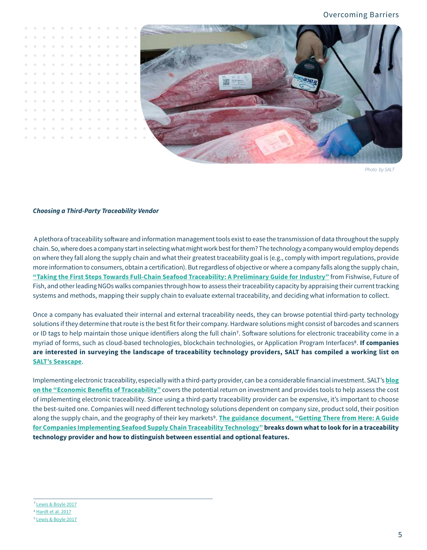

*Photo by SALT* 

#### *Choosing a Third-Party Traceability Vendor*

 A plethora of traceability sofware and information management tools exist to ease the transmission of data throughout the supply chain. So, where does a company start in selecting what might work best for them? The technology a company would employ depends on where they fall along the supply chain and what their greatest traceability goal is (e.g., comply with import regulations, provide more information to consumers, obtain a certification). But regardless of objective or where a company falls along the supply chain, **["Taking the First Steps Towards Full-Chain Seafood Traceability: A Preliminary Guide for Industry"](https://www.salttraceability.org/resource/taking-the-first-steps-towards-full-chain-seafood-traceability-a-preliminary-guide-for-industry/)** from Fishwise, Future of Fish, and other leading NGOs walks companies through how to assess their traceability capacity by appraising their current tracking systems and methods, mapping their supply chain to evaluate external traceability, and deciding what information to collect.

Once a company has evaluated their internal and external traceability needs, they can browse potential third-party technology solutions if they determine that route is the best fit for their company. Hardware solutions might consist of barcodes and scanners or ID tags to help maintain those unique identifiers along the full chain<sup>7</sup>. Software solutions for electronic traceability come in a myriad of forms, such as cloud-based technologies, blockchain technologies, or Application Program Interfaces<sup>8</sup>. If companies **are interested in surveying the landscape of traceability technology providers, SALT has compiled a working list on [SALT's Seascape](https://www.salttraceability.org/seascape-map/?sectors%5B%5D=technology-solution&keyword=)**.

Implementing electronic traceability, especially with a third-party provider, can be a considerable financial investment. SALT's **[blog](https://www.salttraceability.org/resource/overcoming-barriers-economic-benefits-of-electronic-traceability/) [on the "Economic Benefits of Traceability"](https://www.salttraceability.org/resource/overcoming-barriers-economic-benefits-of-electronic-traceability/)** covers the potential return on investment and provides tools to help assess the cost of implementing electronic traceability. Since using a third-party traceability provider can be expensive, it's important to choose the best-suited one. Companies will need diferent technology solutions dependent on company size, product sold, their position along the supply chain, and the geography of their key markets<sup>9</sup>. [The guidance document, "Getting There from Here: A Guide](https://www.salttraceability.org/resource/getting-there-from-here-a-guide-for-companies-implementing-seafood-supply-chain-traceability-technology/) **[for Companies Implementing Seafood Supply Chain Traceability Technology"](https://www.salttraceability.org/resource/getting-there-from-here-a-guide-for-companies-implementing-seafood-supply-chain-traceability-technology/) breaks down what to look for in a traceability technology provider and how to distinguish between essential and optional features.** 

<sup>&</sup>lt;sup>7</sup> Lewis & Boyle 2017 8 [Hardt et al. 2017](https://onlinelibrary.wiley.com/doi/10.1111/1750-3841.13796) 

<sup>&</sup>lt;sup>9</sup> Lewis & Boyle 2017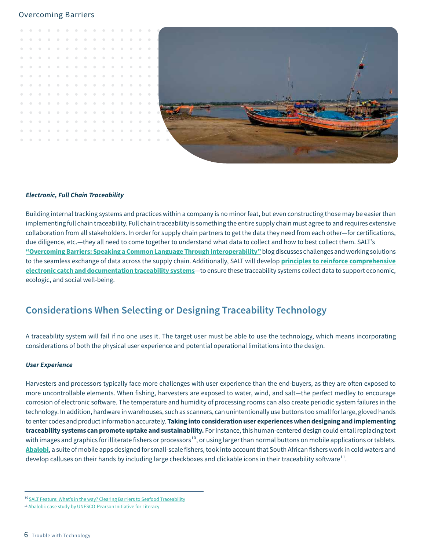



#### *Electronic, Full Chain Traceability*

Building internal tracking systems and practices within a company is no minor feat, but even constructing those may be easier than implementing full chain traceability. Full chain traceability is something the entire supply chain must agree to and requires extensive collaboration from all stakeholders. In order for supply chain partners to get the data they need from each other―for certifications, due diligence, etc.―they all need to come together to understand what data to collect and how to best collect them. SALT's **["Overcoming Barriers: Speaking a Common Language Through Interoperability"](https://www.salttraceability.org/resource/getting-there-from-here-a-guide-for-companies-implementing-seafood-supply-chain-traceability-technology/)** blog discusses challenges and working solutions to the seamless exchange of data across the supply chain. Additionally, SALT will develop **[principles to reinforce comprehensive](https://www.salttraceability.org/our-focus/traceability-principles/)  [electronic catch and documentation traceability systems](https://www.salttraceability.org/our-focus/traceability-principles/)**―to ensure these traceability systems collect data to support economic, ecologic, and social well-being.

## **Considerations When Selecting or Designing Traceability Technology**

A traceability system will fail if no one uses it. The target user must be able to use the technology, which means incorporating considerations of both the physical user experience and potential operational limitations into the design.

#### *User Experience*

Harvesters and processors typically face more challenges with user experience than the end-buyers, as they are often exposed to more uncontrollable elements. When fishing, harvesters are exposed to water, wind, and salt―the perfect medley to encourage corrosion of electronic sofware. The temperature and humidity of processing rooms can also create periodic system failures in the technology. In addition, hardware in warehouses, such as scanners, can unintentionally use buttons too small for large, gloved hands to enter codes and product information accurately. **Taking into consideration user experiences when designing and implementing traceability systems can promote uptake and sustainability.** For instance, this human-centered design could entail replacing text with images and graphics for illiterate fishers or processors<sup>10</sup>, or using larger than normal buttons on mobile applications or tablets. **[Abalobi](https://www.salttraceability.org/effort/abalobi-ict4fisheries-traceability-technology/)**, a suite of mobile apps designed for small-scale fishers, took into account that South African fishers work in cold waters and develop calluses on their hands by including large checkboxes and clickable icons in their traceability software<sup>11</sup>.

<sup>&</sup>lt;sup>10</sup> [SALT Feature: What's in the way? Clearing Barriers to Seafood Traceability](https://www.salttraceability.org/story-hub/whats-in-the-way-clearing-barriers-to-seafood-traceability/)

<sup>&</sup>lt;sup>11</sup> [Abalobi: case study by UNESCO-Pearson Initiative for Literacy](https://www.salttraceability.org/resource/abalobi-case-study-by-unesco-pearson-initiative-for-literacy/)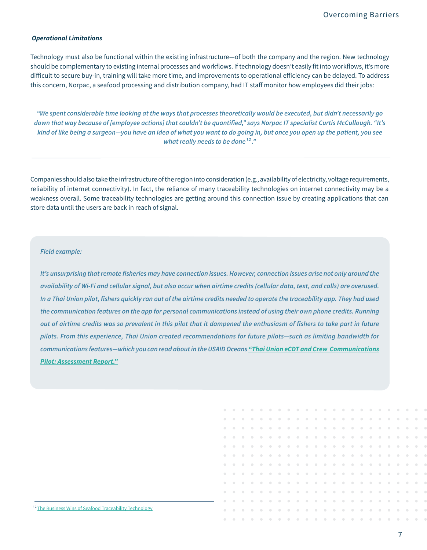#### *Operational Limitations*

Technology must also be functional within the existing infrastructure―of both the company and the region. New technology should be complementary to existing internal processes and workflows. If technology doesn't easily fit into workflows, it's more dificult to secure buy-in, training will take more time, and improvements to operational eficiency can be delayed. To address this concern, Norpac, a seafood processing and distribution company, had IT staff monitor how employees did their jobs:

*"We spent considerable time looking at the ways that processes theoretically would be executed, but didn't necessarily go down that way because of [employee actions] that couldn't be quantified," says Norpac IT specialist Curtis McCullough. "It's kind of like being a surgeon—you have an idea of what you want to do going in, but once you open up the patient, you see what really needs to be done<sup>12</sup>.*"

Companies should also take the infrastructure of the region into consideration (e.g., availability of electricity, voltage requirements, reliability of internet connectivity). In fact, the reliance of many traceability technologies on internet connectivity may be a weakness overall. Some traceability technologies are getting around this connection issue by creating applications that can store data until the users are back in reach of signal.

#### *Field example:*

*It's unsurprising that remote fisheries may have connection issues. However, connection issues arise not only around the availability of Wi-Fi and cellular signal, but also occur when airtime credits (cellular data, text, and calls) are overused. In a Thai Union pilot, fishers quickly ran out of the airtime credits needed to operate the traceability app. They had used the communication features on the app for personal communications instead of using their own phone credits. Running out of airtime credits was so prevalent in this pilot that it dampened the enthusiasm of fishers to take part in future [pilots. From this experience, Thai Union created recommendations for future pilots―such as limiting bandwidth for](https://www.salttraceability.org/resource/the-business-wins-of-seafood-traceability-technology/)  communications features―which you can read about in the USAID Oceans ["Thai Union eCDT and Crew Communications](https://www.salttraceability.org/resource/thai-union-ecdt-and-crew-communications-pilot-assessment-report/)  [Pilot: Assessment Report."](https://www.salttraceability.org/resource/thai-union-ecdt-and-crew-communications-pilot-assessment-report/)* 

#### <sup>12</sup> The Business Wins of Seafood Traceability Technology

 $\alpha$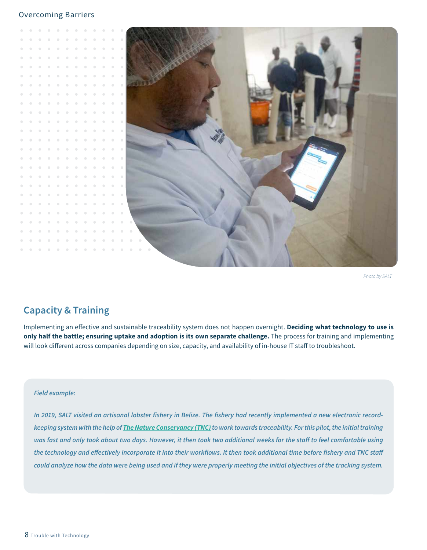

*Photo by SALT* 

# **Capacity & Training**

Implementing an efective and sustainable traceability system does not happen overnight. **Deciding what technology to use is only half the battle; ensuring uptake and adoption is its own separate challenge.** The process for training and implementing will look different across companies depending on size, capacity, and availability of in-house IT staff to troubleshoot.

#### *Field example:*

*In 2019, SALT visited an artisanal lobster fishery in Belize. The fishery had recently implemented a new electronic recordkeeping system with the help of [The Nature Conservancy \(TNC\)](https://www.resilientcentralamerica.org/en/transitioning-to-traceability/)to work towards traceability. For this pilot, the initial training*  was fast and only took about two days. However, it then took two additional weeks for the staff to feel comfortable using the technology and effectively incorporate it into their workflows. It then took additional time before fishery and TNC staff *could analyze how the data were being used and if they were properly meeting the initial objectives of the tracking system.*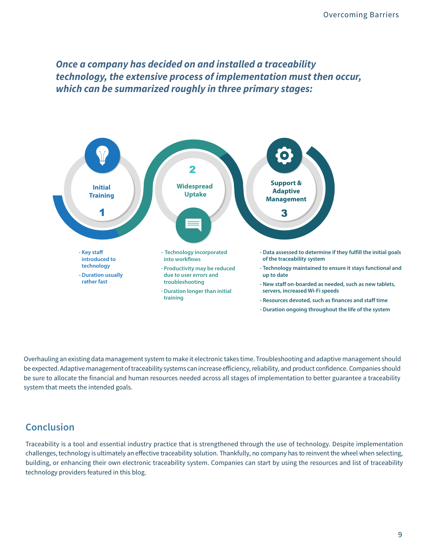*Once a company has decided on and installed a traceability technology, the extensive process of implementation must then occur, which can be summarized roughly in three primary stages:* 



Overhauling an existing data management system to make it electronic takes time. Troubleshooting and adaptive management should be expected. Adaptive management of traceability systems can increase eficiency, reliability, and product confidence. Companies should be sure to allocate the financial and human resources needed across all stages of implementation to better guarantee a traceability system that meets the intended goals.

## **Conclusion**

Traceability is a tool and essential industry practice that is strengthened through the use of technology. Despite implementation challenges, technology is ultimately an efective traceability solution. Thankfully, no company has to reinvent the wheel when selecting, building, or enhancing their own electronic traceability system. Companies can start by using the resources and list of traceability technology providers featured in this blog.